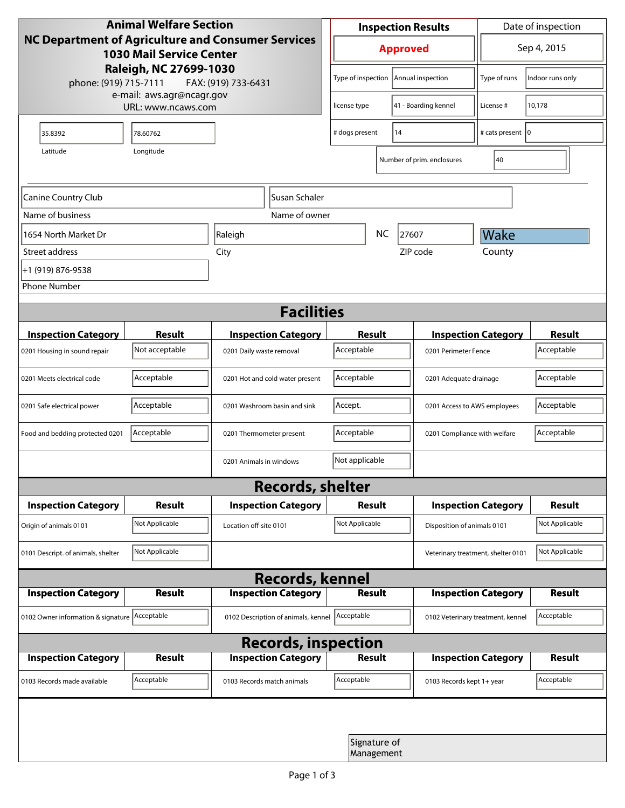| <b>Animal Welfare Section</b><br><b>NC Department of Agriculture and Consumer Services</b><br><b>1030 Mail Service Center</b> |                |                                     |                            | <b>Inspection Results</b> |                            |                        |                                   | Date of inspection                 |                  |  |
|-------------------------------------------------------------------------------------------------------------------------------|----------------|-------------------------------------|----------------------------|---------------------------|----------------------------|------------------------|-----------------------------------|------------------------------------|------------------|--|
|                                                                                                                               |                |                                     |                            | <b>Approved</b>           |                            |                        |                                   | Sep 4, 2015                        |                  |  |
| Raleigh, NC 27699-1030<br>phone: (919) 715-7111<br>FAX: (919) 733-6431                                                        |                |                                     |                            | Type of inspection        |                            | Annual inspection      |                                   | Type of runs                       | Indoor runs only |  |
| e-mail: aws.agr@ncagr.gov<br>URL: www.ncaws.com                                                                               |                |                                     |                            | license type              |                            |                        | 41 - Boarding kennel              | License #                          | 10,178           |  |
| 35.8392                                                                                                                       | 78.60762       |                                     | 14<br># dogs present       |                           |                            |                        | # cats present   0                |                                    |                  |  |
| Longitude<br>Latitude                                                                                                         |                |                                     |                            |                           | Number of prim. enclosures |                        |                                   | 40                                 |                  |  |
| Susan Schaler<br>Canine Country Club                                                                                          |                |                                     |                            |                           |                            |                        |                                   |                                    |                  |  |
| Name of business                                                                                                              |                |                                     | Name of owner              |                           |                            |                        |                                   |                                    |                  |  |
| 1654 North Market Dr                                                                                                          | Raleigh        |                                     |                            | <b>NC</b><br>27607        |                            |                        |                                   | Wake                               |                  |  |
| Street address                                                                                                                | City           |                                     |                            | ZIP code                  |                            |                        |                                   | County                             |                  |  |
| +1 (919) 876-9538                                                                                                             |                |                                     |                            |                           |                            |                        |                                   |                                    |                  |  |
| <b>Phone Number</b>                                                                                                           |                |                                     |                            |                           |                            |                        |                                   |                                    |                  |  |
| <b>Facilities</b>                                                                                                             |                |                                     |                            |                           |                            |                        |                                   |                                    |                  |  |
| <b>Inspection Category</b>                                                                                                    | <b>Result</b>  |                                     | <b>Inspection Category</b> | <b>Result</b>             |                            |                        |                                   | <b>Inspection Category</b>         | <b>Result</b>    |  |
| 0201 Housing in sound repair                                                                                                  | Not acceptable | 0201 Daily waste removal            |                            | Acceptable                |                            |                        | 0201 Perimeter Fence              |                                    | Acceptable       |  |
| 0201 Meets electrical code                                                                                                    | Acceptable     | 0201 Hot and cold water present     | Acceptable                 |                           |                            | 0201 Adequate drainage |                                   | Acceptable                         |                  |  |
| 0201 Safe electrical power                                                                                                    | Acceptable     | 0201 Washroom basin and sink        |                            | Accept.                   |                            |                        | 0201 Access to AWS employees      |                                    | Acceptable       |  |
| Food and bedding protected 0201                                                                                               | Acceptable     | 0201 Thermometer present            |                            | Acceptable                |                            |                        | 0201 Compliance with welfare      |                                    | Acceptable       |  |
|                                                                                                                               |                | 0201 Animals in windows             |                            | Not applicable            |                            |                        |                                   |                                    |                  |  |
| <b>Records, shelter</b>                                                                                                       |                |                                     |                            |                           |                            |                        |                                   |                                    |                  |  |
| <b>Inspection Category</b>                                                                                                    | Result         |                                     | <b>Inspection Category</b> | Result                    |                            |                        |                                   | <b>Inspection Category</b>         | <b>Result</b>    |  |
| Origin of animals 0101                                                                                                        | Not Applicable | Location off-site 0101              |                            | Not Applicable            |                            |                        | Disposition of animals 0101       |                                    | Not Applicable   |  |
| 0101 Descript. of animals, shelter                                                                                            | Not Applicable |                                     |                            |                           |                            |                        |                                   | Veterinary treatment, shelter 0101 | Not Applicable   |  |
| <b>Records, kennel</b>                                                                                                        |                |                                     |                            |                           |                            |                        |                                   |                                    |                  |  |
| <b>Inspection Category</b>                                                                                                    | Result         |                                     | <b>Inspection Category</b> |                           | <b>Result</b>              |                        |                                   | <b>Inspection Category</b>         | Result           |  |
| 0102 Owner information & signature Acceptable                                                                                 |                | 0102 Description of animals, kennel |                            | Acceptable                |                            |                        | 0102 Veterinary treatment, kennel |                                    | Acceptable       |  |
| <b>Records, inspection</b>                                                                                                    |                |                                     |                            |                           |                            |                        |                                   |                                    |                  |  |
| <b>Inspection Category</b>                                                                                                    | <b>Result</b>  |                                     | <b>Inspection Category</b> |                           | Result                     |                        |                                   | <b>Inspection Category</b>         | <b>Result</b>    |  |
| 0103 Records made available                                                                                                   | Acceptable     | 0103 Records match animals          |                            | Acceptable                |                            |                        | 0103 Records kept 1+ year         |                                    | Acceptable       |  |
|                                                                                                                               |                |                                     |                            |                           |                            |                        |                                   |                                    |                  |  |
|                                                                                                                               |                |                                     |                            |                           | Signature of<br>Management |                        |                                   |                                    |                  |  |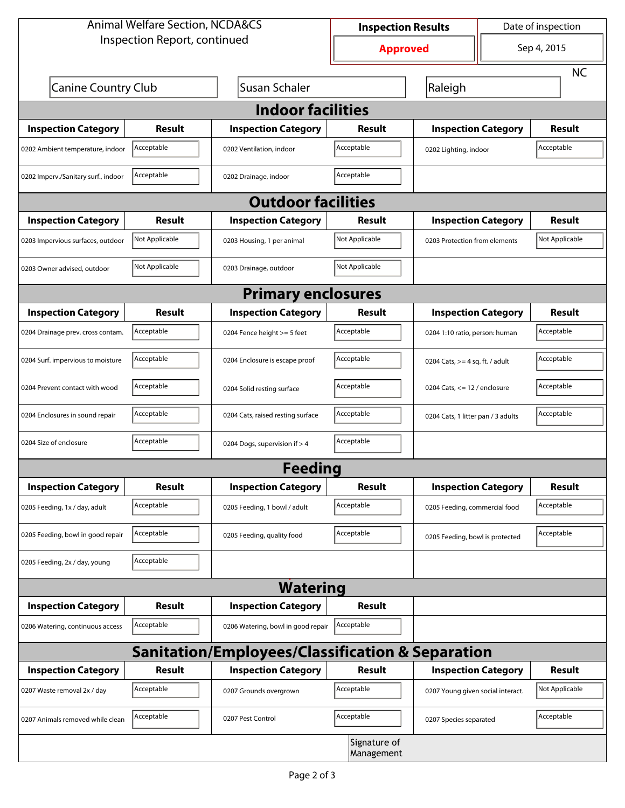| <b>Animal Welfare Section, NCDA&amp;CS</b>                  | <b>Inspection Results</b>                   |                                    | Date of inspection         |                                   |                                    |                |  |  |  |
|-------------------------------------------------------------|---------------------------------------------|------------------------------------|----------------------------|-----------------------------------|------------------------------------|----------------|--|--|--|
| Inspection Report, continued                                | <b>Approved</b>                             |                                    | Sep 4, 2015                |                                   |                                    |                |  |  |  |
|                                                             |                                             |                                    |                            |                                   |                                    | <b>NC</b>      |  |  |  |
|                                                             | Susan Schaler<br><b>Canine Country Club</b> |                                    |                            | Raleigh                           |                                    |                |  |  |  |
| <b>Indoor facilities</b>                                    |                                             |                                    |                            |                                   |                                    |                |  |  |  |
| <b>Inspection Category</b>                                  | Result                                      | <b>Inspection Category</b>         | Result                     | <b>Inspection Category</b>        |                                    | Result         |  |  |  |
| Acceptable<br>0202 Ambient temperature, indoor              |                                             | 0202 Ventilation, indoor           | Acceptable                 | 0202 Lighting, indoor             |                                    | Acceptable     |  |  |  |
| 0202 Imperv./Sanitary surf., indoor                         | Acceptable                                  | 0202 Drainage, indoor              | Acceptable                 |                                   |                                    |                |  |  |  |
| <b>Outdoor facilities</b>                                   |                                             |                                    |                            |                                   |                                    |                |  |  |  |
| <b>Inspection Category</b>                                  | <b>Result</b>                               | <b>Inspection Category</b>         | Result                     | <b>Inspection Category</b>        |                                    | Result         |  |  |  |
| 0203 Impervious surfaces, outdoor                           | Not Applicable                              | 0203 Housing, 1 per animal         | Not Applicable             | 0203 Protection from elements     |                                    | Not Applicable |  |  |  |
| 0203 Owner advised, outdoor                                 | Not Applicable                              | 0203 Drainage, outdoor             | Not Applicable             |                                   |                                    |                |  |  |  |
| <b>Primary enclosures</b>                                   |                                             |                                    |                            |                                   |                                    |                |  |  |  |
| <b>Inspection Category</b>                                  | Result                                      | <b>Inspection Category</b>         | Result                     | <b>Inspection Category</b>        |                                    | Result         |  |  |  |
| 0204 Drainage prev. cross contam.                           | Acceptable                                  | 0204 Fence height >= 5 feet        | Acceptable                 | 0204 1:10 ratio, person: human    |                                    | Acceptable     |  |  |  |
| 0204 Surf. impervious to moisture                           | Acceptable                                  | 0204 Enclosure is escape proof     | Acceptable                 | 0204 Cats, $>=$ 4 sq. ft. / adult |                                    | Acceptable     |  |  |  |
| 0204 Prevent contact with wood                              | Acceptable                                  | 0204 Solid resting surface         | Acceptable                 | 0204 Cats, $<= 12$ / enclosure    |                                    | Acceptable     |  |  |  |
| 0204 Enclosures in sound repair                             | Acceptable                                  | 0204 Cats, raised resting surface  | Acceptable                 |                                   | 0204 Cats, 1 litter pan / 3 adults |                |  |  |  |
| 0204 Size of enclosure                                      | Acceptable                                  | 0204 Dogs, supervision if > 4      | Acceptable                 |                                   |                                    |                |  |  |  |
|                                                             |                                             | <b>Feeding</b>                     |                            |                                   |                                    |                |  |  |  |
| <b>Inspection Category</b>                                  | <b>Result</b>                               | <b>Inspection Category</b>         | Result                     | <b>Inspection Category</b>        |                                    | <b>Result</b>  |  |  |  |
| 0205 Feeding, 1x / day, adult                               | Acceptable                                  | 0205 Feeding, 1 bowl / adult       | Acceptable                 | 0205 Feeding, commercial food     |                                    | Acceptable     |  |  |  |
| 0205 Feeding, bowl in good repair                           | Acceptable                                  | 0205 Feeding, quality food         | Acceptable                 | 0205 Feeding, bowl is protected   |                                    | Acceptable     |  |  |  |
| 0205 Feeding, 2x / day, young                               | Acceptable                                  |                                    |                            |                                   |                                    |                |  |  |  |
| <b>Watering</b>                                             |                                             |                                    |                            |                                   |                                    |                |  |  |  |
| <b>Inspection Category</b>                                  | <b>Result</b>                               | <b>Inspection Category</b>         | Result                     |                                   |                                    |                |  |  |  |
| 0206 Watering, continuous access                            | Acceptable                                  | 0206 Watering, bowl in good repair | Acceptable                 |                                   |                                    |                |  |  |  |
| <b>Sanitation/Employees/Classification &amp; Separation</b> |                                             |                                    |                            |                                   |                                    |                |  |  |  |
| <b>Inspection Category</b>                                  | <b>Result</b>                               | <b>Inspection Category</b>         | Result                     | <b>Inspection Category</b>        |                                    | <b>Result</b>  |  |  |  |
| 0207 Waste removal 2x / day                                 | Acceptable                                  | 0207 Grounds overgrown             | Acceptable                 | 0207 Young given social interact. |                                    | Not Applicable |  |  |  |
| 0207 Animals removed while clean                            | Acceptable                                  | 0207 Pest Control                  | Acceptable                 | 0207 Species separated            |                                    | Acceptable     |  |  |  |
|                                                             |                                             |                                    | Signature of<br>Management |                                   |                                    |                |  |  |  |